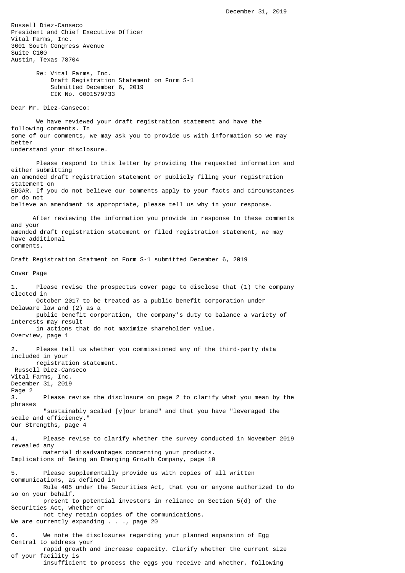Russell Diez-Canseco President and Chief Executive Officer Vital Farms, Inc. 3601 South Congress Avenue Suite C100 Austin, Texas 78704 Re: Vital Farms, Inc. Draft Registration Statement on Form S-1 Submitted December 6, 2019 CIK No. 0001579733 Dear Mr. Diez-Canseco: We have reviewed your draft registration statement and have the following comments. In some of our comments, we may ask you to provide us with information so we may better understand your disclosure. Please respond to this letter by providing the requested information and either submitting an amended draft registration statement or publicly filing your registration statement on EDGAR. If you do not believe our comments apply to your facts and circumstances or do not believe an amendment is appropriate, please tell us why in your response. After reviewing the information you provide in response to these comments and your amended draft registration statement or filed registration statement, we may have additional comments. Draft Registration Statment on Form S-1 submitted December 6, 2019 Cover Page 1. Please revise the prospectus cover page to disclose that (1) the company elected in October 2017 to be treated as a public benefit corporation under Delaware law and (2) as a public benefit corporation, the company's duty to balance a variety of interests may result in actions that do not maximize shareholder value. Overview, page 1 2. Please tell us whether you commissioned any of the third-party data included in your registration statement. Russell Diez-Canseco Vital Farms, Inc. December 31, 2019 Page 2 3. Please revise the disclosure on page 2 to clarify what you mean by the phrases "sustainably scaled [y]our brand" and that you have "leveraged the scale and efficiency." Our Strengths, page 4 4. Please revise to clarify whether the survey conducted in November 2019 revealed any material disadvantages concerning your products. Implications of Being an Emerging Growth Company, page 10 5. Please supplementally provide us with copies of all written communications, as defined in Rule 405 under the Securities Act, that you or anyone authorized to do so on your behalf, present to potential investors in reliance on Section 5(d) of the Securities Act, whether or not they retain copies of the communications. We are currently expanding . . ., page 20 6. We note the disclosures regarding your planned expansion of Egg Central to address your rapid growth and increase capacity. Clarify whether the current size of your facility is

insufficient to process the eggs you receive and whether, following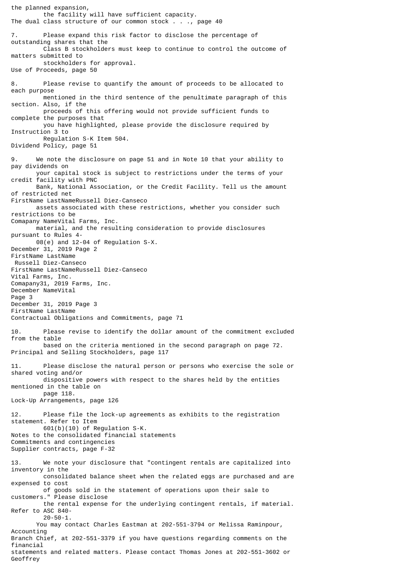the planned expansion, the facility will have sufficient capacity. The dual class structure of our common stock . . ., page 40 7. Please expand this risk factor to disclose the percentage of outstanding shares that the Class B stockholders must keep to continue to control the outcome of matters submitted to stockholders for approval. Use of Proceeds, page 50 8. Please revise to quantify the amount of proceeds to be allocated to each purpose mentioned in the third sentence of the penultimate paragraph of this section. Also, if the proceeds of this offering would not provide sufficient funds to complete the purposes that you have highlighted, please provide the disclosure required by Instruction 3 to Regulation S-K Item 504. Dividend Policy, page 51 9. We note the disclosure on page 51 and in Note 10 that your ability to pay dividends on your capital stock is subject to restrictions under the terms of your credit facility with PNC Bank, National Association, or the Credit Facility. Tell us the amount of restricted net FirstName LastNameRussell Diez-Canseco assets associated with these restrictions, whether you consider such restrictions to be Comapany NameVital Farms, Inc. material, and the resulting consideration to provide disclosures pursuant to Rules 4- 08(e) and 12-04 of Regulation S-X. December 31, 2019 Page 2 FirstName LastName Russell Diez-Canseco FirstName LastNameRussell Diez-Canseco Vital Farms, Inc. Comapany31, 2019 Farms, Inc. December NameVital Page 3 December 31, 2019 Page 3 FirstName LastName Contractual Obligations and Commitments, page 71 10. Please revise to identify the dollar amount of the commitment excluded from the table based on the criteria mentioned in the second paragraph on page 72. Principal and Selling Stockholders, page 117 11. Please disclose the natural person or persons who exercise the sole or shared voting and/or dispositive powers with respect to the shares held by the entities mentioned in the table on page 118. Lock-Up Arrangements, page 126 12. Please file the lock-up agreements as exhibits to the registration statement. Refer to Item 601(b)(10) of Regulation S-K. Notes to the consolidated financial statements Commitments and contingencies Supplier contracts, page F-32 13. We note your disclosure that "contingent rentals are capitalized into inventory in the consolidated balance sheet when the related eggs are purchased and are expensed to cost of goods sold in the statement of operations upon their sale to customers." Please disclose the rental expense for the underlying contingent rentals, if material. Refer to ASC 840- 20-50-1. You may contact Charles Eastman at 202-551-3794 or Melissa Raminpour, Accounting Branch Chief, at 202-551-3379 if you have questions regarding comments on the financial statements and related matters. Please contact Thomas Jones at 202-551-3602 or Geoffrey